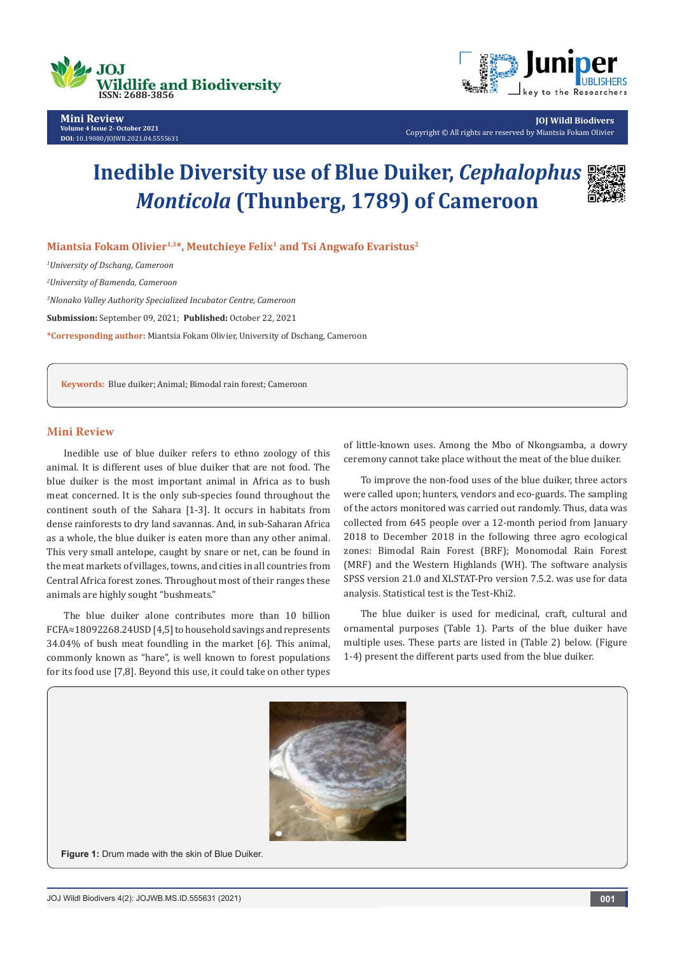



**JOJ Wildl Biodivers** Copyright © All rights are reserved by Miantsia Fokam Olivier

# **Inedible Diversity use of Blue Duiker,** *Cephalophus Monticola* **(Thunberg, 1789) of Cameroon**



**Miantsia Fokam Olivier1,3\*, Meutchieye Felix1 and Tsi Angwafo Evaristus2**

*1 University of Dschang, Cameroon*

*2 University of Bamenda, Cameroon*

*3 Nlonako Valley Authority Specialized Incubator Centre, Cameroon*

**Submission:** September 09, 2021; **Published:** October 22, 2021

**\*Corresponding author:** Miantsia Fokam Olivier, University of Dschang, Cameroon

**Keywords:** Blue duiker; Animal; Bimodal rain forest; Cameroon

## **Mini Review**

Inedible use of blue duiker refers to ethno zoology of this animal. It is different uses of blue duiker that are not food. The blue duiker is the most important animal in Africa as to bush meat concerned. It is the only sub-species found throughout the continent south of the Sahara [1-3]. It occurs in habitats from dense rainforests to dry land savannas. And, in sub-Saharan Africa as a whole, the blue duiker is eaten more than any other animal. This very small antelope, caught by snare or net, can be found in the meat markets of villages, towns, and cities in all countries from Central Africa forest zones. Throughout most of their ranges these animals are highly sought "bushmeats."

The blue duiker alone contributes more than 10 billion FCFA≈18092268.24USD [4,5] to household savings and represents 34.04% of bush meat foundling in the market [6]. This animal, commonly known as "hare", is well known to forest populations for its food use [7,8]. Beyond this use, it could take on other types

of little-known uses. Among the Mbo of Nkongsamba, a dowry ceremony cannot take place without the meat of the blue duiker.

To improve the non-food uses of the blue duiker, three actors were called upon; hunters, vendors and eco-guards. The sampling of the actors monitored was carried out randomly. Thus, data was collected from 645 people over a 12-month period from January 2018 to December 2018 in the following three agro ecological zones: Bimodal Rain Forest (BRF); Monomodal Rain Forest (MRF) and the Western Highlands (WH). The software analysis SPSS version 21.0 and XLSTAT-Pro version 7.5.2. was use for data analysis. Statistical test is the Test-Khi2.

The blue duiker is used for medicinal, craft, cultural and ornamental purposes (Table 1). Parts of the blue duiker have multiple uses. These parts are listed in (Table 2) below. (Figure 1-4) present the different parts used from the blue duiker.



**Figure 1:** Drum made with the skin of Blue Duiker.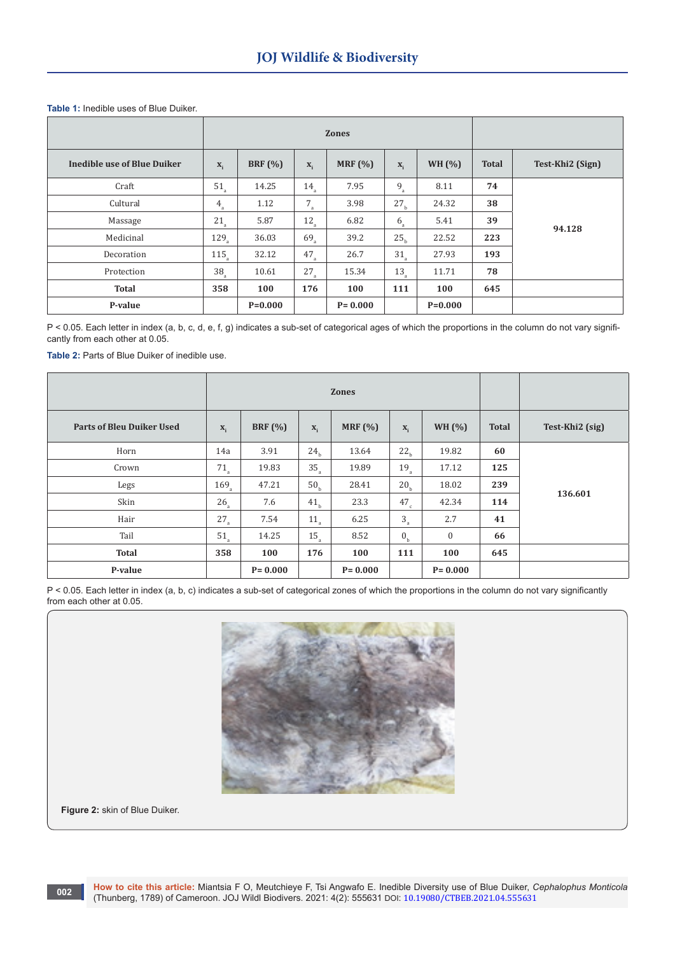# **Table 1:** Inedible uses of Blue Duiker.

|                             | <b>Zones</b>     |                |                 |             |                 |             |              |                  |
|-----------------------------|------------------|----------------|-----------------|-------------|-----------------|-------------|--------------|------------------|
| Inedible use of Blue Duiker | $X_i$            | <b>BRF</b> (%) | $X_i$           | MRF $(%)$   | $X_i$           | WH $(%)$    | <b>Total</b> | Test-Khi2 (Sign) |
| Craft                       | $51_a$           | 14.25          | 14 <sub>a</sub> | 7.95        | $9_a$           | 8.11        | 74           | 94.128           |
| Cultural                    | $4_a$            | 1.12           | $7_a$           | 3.98        | 27 <sub>b</sub> | 24.32       | 38           |                  |
| Massage                     | $21\rm_a$        | 5.87           | $12_a$          | 6.82        | $6_a$           | 5.41        | 39           |                  |
| Medicinal                   | $129_a$          | 36.03          | $69_{\rm a}$    | 39.2        | 25 <sub>b</sub> | 22.52       | 223          |                  |
| Decoration                  | 115 <sub>a</sub> | 32.12          | $47_a$          | 26.7        | $31_a$          | 27.93       | 193          |                  |
| Protection                  | $38_a$           | 10.61          | $27_a$          | 15.34       | $13_a$          | 11.71       | 78           |                  |
| <b>Total</b>                | 358              | 100            | 176             | 100         | 111             | 100         | 645          |                  |
| P-value                     |                  | $P=0.000$      |                 | $P = 0.000$ |                 | $P = 0.000$ |              |                  |

P < 0.05. Each letter in index (a, b, c, d, e, f, g) indicates a sub-set of categorical ages of which the proportions in the column do not vary significantly from each other at 0.05.

**Table 2:** Parts of Blue Duiker of inedible use.

|                                  | <b>Zones</b>       |             |                  |             |                      |               |              |                 |
|----------------------------------|--------------------|-------------|------------------|-------------|----------------------|---------------|--------------|-----------------|
| <b>Parts of Bleu Duiker Used</b> | $\mathbf{X}_{i}$   | BRF $(%)$   | $\mathbf{x}_{i}$ | MRF $(%)$   | $X_i$                | <b>WH (%)</b> | <b>Total</b> | Test-Khi2 (sig) |
| Horn                             | 14a                | 3.91        | 24 <sub>h</sub>  | 13.64       | 22 <sub>h</sub>      | 19.82         | 60           | 136.601         |
| Crown                            | $71_a$             | 19.83       | $35_a$           | 19.89       | $19_a$               | 17.12         | 125          |                 |
| Legs                             | $169$ <sub>a</sub> | 47.21       | 50 <sub>h</sub>  | 28.41       | 20 <sub>b</sub>      | 18.02         | 239          |                 |
| Skin                             | $26_a$             | 7.6         | 41 <sub>b</sub>  | 23.3        | $47_c$               | 42.34         | 114          |                 |
| Hair                             | $27_a$             | 7.54        | $11_a$           | 6.25        | $\mathbf{3}_{\rm a}$ | 2.7           | 41           |                 |
| Tail                             | 51 <sub>a</sub>    | 14.25       | $15_a$           | 8.52        | 0 <sub>b</sub>       | $\bf{0}$      | 66           |                 |
| <b>Total</b>                     | 358                | 100         | 176              | 100         | 111                  | 100           | 645          |                 |
| P-value                          |                    | $P = 0.000$ |                  | $P = 0.000$ |                      | $P = 0.000$   |              |                 |

P < 0.05. Each letter in index (a, b, c) indicates a sub-set of categorical zones of which the proportions in the column do not vary significantly from each other at 0.05.



**Figure 2:** skin of Blue Duiker.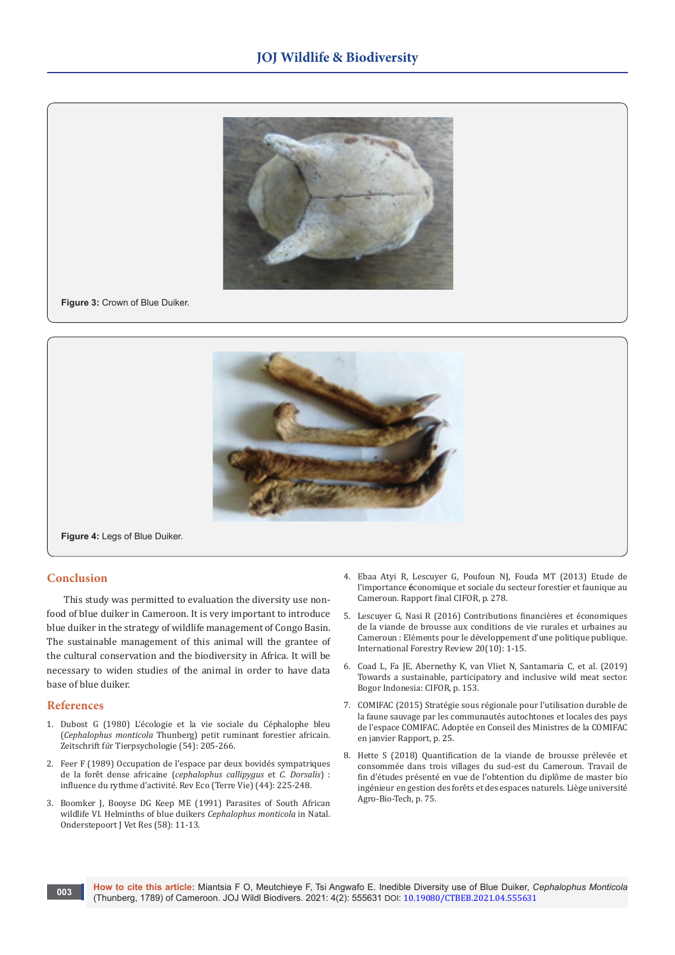

#### **Figure 3:** Crown of Blue Duiker.



**Figure 4:** Legs of Blue Duiker.

### **Conclusion**

This study was permitted to evaluation the diversity use nonfood of blue duiker in Cameroon. It is very important to introduce blue duiker in the strategy of wildlife management of Congo Basin. The sustainable management of this animal will the grantee of the cultural conservation and the biodiversity in Africa. It will be necessary to widen studies of the animal in order to have data base of blue duiker.

## **References**

**003**

- 1. [Dubost G \(1980\) L'écologie et la vie sociale du Céphalophe bleu](https://onlinelibrary.wiley.com/doi/abs/10.1111/j.1439-0310.1980.tb01243.x)  (*Cephalophus monticola* [Thunberg\) petit ruminant forestier africain.](https://onlinelibrary.wiley.com/doi/abs/10.1111/j.1439-0310.1980.tb01243.x)  Zeitschrift f*ü*[r Tierpsychologie \(54\): 205-266.](https://onlinelibrary.wiley.com/doi/abs/10.1111/j.1439-0310.1980.tb01243.x)
- 2. Feer F (1989) Occupation de l'espace par deux bovidés sympatriques de la forêt dense africaine (*cephalophus callipygus* et *C. Dorsalis*) : influence du rythme d'activité. Rev Eco (Terre Vie) (44): 225-248.
- 3. [Boomker J, Booyse DG Keep ME \(1991\) Parasites of South African](https://pubmed.ncbi.nlm.nih.gov/2052315/)  [wildlife VI. Helminths of blue duikers](https://pubmed.ncbi.nlm.nih.gov/2052315/) *Cephalophus monticola* in Natal. Onderstepoort [J Vet Res \(58\): 11-13.](https://pubmed.ncbi.nlm.nih.gov/2052315/)
- 4. [Ebaa Atyi R, Lescuyer G, Poufoun NJ, Fouda MT \(2013\) Etude de](https://afrique-centrale.cirad.fr/content/download/4439/34072/version/1/file/Etude+importance+%C3%A9co+secteurs+for%C3%AAts+faune+au+Cameroun.pdf)  l'importance **é**[conomique et sociale du secteur forestier et faunique au](https://afrique-centrale.cirad.fr/content/download/4439/34072/version/1/file/Etude+importance+%C3%A9co+secteurs+for%C3%AAts+faune+au+Cameroun.pdf)  [Cameroun. Rapport final CIFOR, p. 278.](https://afrique-centrale.cirad.fr/content/download/4439/34072/version/1/file/Etude+importance+%C3%A9co+secteurs+for%C3%AAts+faune+au+Cameroun.pdf)
- 5. [Lescuyer G, Nasi R \(2016\) Contributions financières et économiques](https://www.jstor.org/stable/26453622)  [de la viande de brousse aux conditions de vie rurales et urbaines au](https://www.jstor.org/stable/26453622)  [Cameroun : Eléments pour le développement d'une politique publique.](https://www.jstor.org/stable/26453622)  [International Forestry Review 20\(10\): 1-15.](https://www.jstor.org/stable/26453622)
- 6. [Coad L, Fa JE, Abernethy K, van Vliet N, Santamaria C, et al. \(2019\)](https://www.cifor.org/publications/pdf_files/Books/BCoad1901.pdf)  [Towards a sustainable, participatory and inclusive wild meat sector.](https://www.cifor.org/publications/pdf_files/Books/BCoad1901.pdf)  [Bogor Indonesia: CIFOR, p. 153.](https://www.cifor.org/publications/pdf_files/Books/BCoad1901.pdf)
- 7. COMIFAC (2015) Stratégie sous régionale pour l'utilisation durable de la faune sauvage par les communautés autochtones et locales des pays de l'espace COMIFAC. Adoptée en Conseil des Ministres de la COMIFAC en janvier Rapport, p. 25.
- 8. [Hette S \(2018\) Quantification de la viande de brousse prélevée et](https://matheo.uliege.be/bitstream/2268.2/5103/5/TFE%20Samuel%20HETTE_sans_annexes.pdf)  [consommée dans trois villages du sud-est du Cameroun. Travail de](https://matheo.uliege.be/bitstream/2268.2/5103/5/TFE%20Samuel%20HETTE_sans_annexes.pdf)  [fin d'études présenté en vue de l'obtention du diplôme de master bio](https://matheo.uliege.be/bitstream/2268.2/5103/5/TFE%20Samuel%20HETTE_sans_annexes.pdf)  [ingénieur en gestion des forêts et des espaces naturels. Liège université](https://matheo.uliege.be/bitstream/2268.2/5103/5/TFE%20Samuel%20HETTE_sans_annexes.pdf)  [Agro-Bio-Tech, p. 75.](https://matheo.uliege.be/bitstream/2268.2/5103/5/TFE%20Samuel%20HETTE_sans_annexes.pdf)